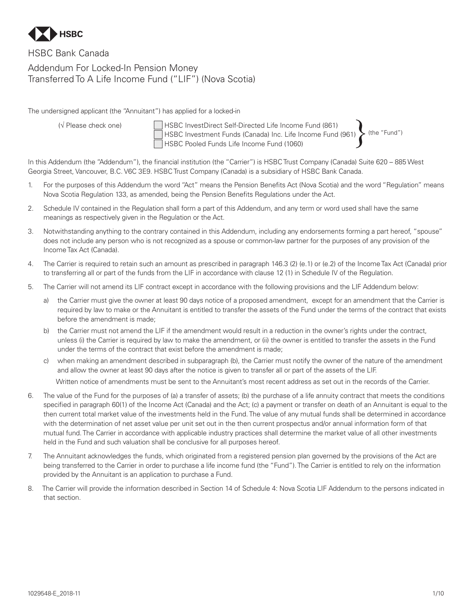

# HSBC Bank Canada Addendum For Locked-In Pension Money Transferred To A Life Income Fund ("LIF") (Nova Scotia)

The undersigned applicant (the "Annuitant") has applied for a locked-in

 (√ Please check one) HSBC InvestDirect Self-Directed Life Income Fund (861) HSBC Investment Funds (Canada) Inc. Life Income Fund (961) HSBC Pooled Funds Life Income Fund (1060)  $\blacklozenge$  (the "Fund")

In this Addendum (the "Addendum"), the financial institution (the "Carrier") is HSBC Trust Company (Canada) Suite 620 – 885 West Georgia Street, Vancouver, B.C. V6C 3E9. HSBC Trust Company (Canada) is a subsidiary of HSBC Bank Canada.

- 1. For the purposes of this Addendum the word "Act" means the Pension Benefits Act (Nova Scotia) and the word "Regulation" means Nova Scotia Regulation 133, as amended, being the Pension Benefits Regulations under the Act.
- 2. Schedule IV contained in the Regulation shall form a part of this Addendum, and any term or word used shall have the same meanings as respectively given in the Regulation or the Act.
- 3. Notwithstanding anything to the contrary contained in this Addendum, including any endorsements forming a part hereof, "spouse" does not include any person who is not recognized as a spouse or common-law partner for the purposes of any provision of the Income Tax Act (Canada).
- 4. The Carrier is required to retain such an amount as prescribed in paragraph 146.3 (2) (e.1) or (e.2) of the Income Tax Act (Canada) prior to transferring all or part of the funds from the LIF in accordance with clause 12 (1) in Schedule IV of the Regulation.
- 5. The Carrier will not amend its LIF contract except in accordance with the following provisions and the LIF Addendum below:
	- a) the Carrier must give the owner at least 90 days notice of a proposed amendment, except for an amendment that the Carrier is required by law to make or the Annuitant is entitled to transfer the assets of the Fund under the terms of the contract that exists before the amendment is made;
	- b) the Carrier must not amend the LIF if the amendment would result in a reduction in the owner's rights under the contract, unless (i) the Carrier is required by law to make the amendment, or (ii) the owner is entitled to transfer the assets in the Fund under the terms of the contract that exist before the amendment is made;

c) when making an amendment described in subparagraph (b), the Carrier must notify the owner of the nature of the amendment and allow the owner at least 90 days after the notice is given to transfer all or part of the assets of the LIF.

Written notice of amendments must be sent to the Annuitant's most recent address as set out in the records of the Carrier.

- 6. The value of the Fund for the purposes of (a) a transfer of assets; (b) the purchase of a life annuity contract that meets the conditions specified in paragraph 60(1) of the Income Act (Canada) and the Act; (c) a payment or transfer on death of an Annuitant is equal to the then current total market value of the investments held in the Fund. The value of any mutual funds shall be determined in accordance with the determination of net asset value per unit set out in the then current prospectus and/or annual information form of that mutual fund. The Carrier in accordance with applicable industry practices shall determine the market value of all other investments held in the Fund and such valuation shall be conclusive for all purposes hereof.
- 7. The Annuitant acknowledges the funds, which originated from a registered pension plan governed by the provisions of the Act are being transferred to the Carrier in order to purchase a life income fund (the "Fund"). The Carrier is entitled to rely on the information provided by the Annuitant is an application to purchase a Fund.
- 8. The Carrier will provide the information described in Section 14 of Schedule 4: Nova Scotia LIF Addendum to the persons indicated in that section.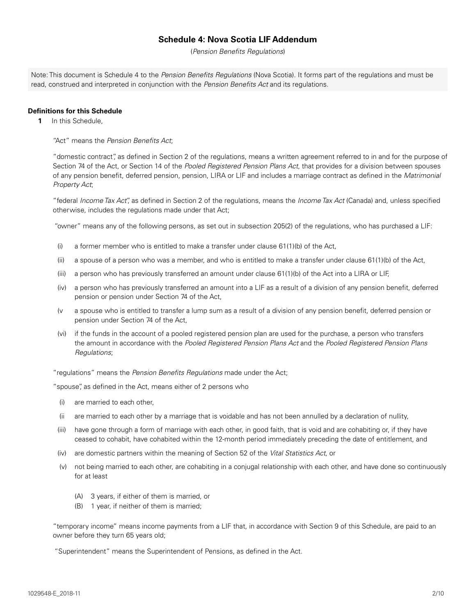# **Schedule 4: Nova Scotia LIF Addendum**

(*Pension Benefits Regulations*)

Note: This document is Schedule 4 to the *Pension Benefits Regulations* (Nova Scotia). It forms part of the regulations and must be read, construed and interpreted in conjunction with the *Pension Benefits Act* and its regulations.

#### **Definitions for this Schedule**

**1** In this Schedule,

"Act" means the *Pension Benefits Act*;

"domestic contract", as defined in Section 2 of the regulations, means a written agreement referred to in and for the purpose of Section 74 of the Act, or Section 14 of the *Pooled Registered Pension Plans Act*, that provides for a division between spouses of any pension benefit, deferred pension, pension, LIRA or LIF and includes a marriage contract as defined in the *Matrimonial Property Act*;

"federal *Income Tax Act*", as defined in Section 2 of the regulations, means the *Income Tax Act* (Canada) and, unless specified otherwise, includes the regulations made under that Act;

"owner" means any of the following persons, as set out in subsection 205(2) of the regulations, who has purchased a LIF:

- (i) a former member who is entitled to make a transfer under clause 61(1)(b) of the Act,
- (ii) a spouse of a person who was a member, and who is entitled to make a transfer under clause 61(1)(b) of the Act,
- (iii) a person who has previously transferred an amount under clause 61(1)(b) of the Act into a LIRA or LIF,
- (iv) a person who has previously transferred an amount into a LIF as a result of a division of any pension benefit, deferred pension or pension under Section 74 of the Act,
- (v a spouse who is entitled to transfer a lump sum as a result of a division of any pension benefit, deferred pension or pension under Section 74 of the Act,
- (vi) if the funds in the account of a pooled registered pension plan are used for the purchase, a person who transfers the amount in accordance with the *Pooled Registered Pension Plans Act* and the *Pooled Registered Pension Plans Regulations*;

"regulations" means the *Pension Benefits Regulations* made under the Act;

"spouse", as defined in the Act, means either of 2 persons who

- (i) are married to each other,
- (ii are married to each other by a marriage that is voidable and has not been annulled by a declaration of nullity,
- (iii) have gone through a form of marriage with each other, in good faith, that is void and are cohabiting or, if they have ceased to cohabit, have cohabited within the 12-month period immediately preceding the date of entitlement, and
- (iv) are domestic partners within the meaning of Section 52 of the *Vital Statistics Act*, or
- (v) not being married to each other, are cohabiting in a conjugal relationship with each other, and have done so continuously for at least
	- (A) 3 years, if either of them is married, or
	- (B) 1 year, if neither of them is married;

"temporary income" means income payments from a LIF that, in accordance with Section 9 of this Schedule, are paid to an owner before they turn 65 years old;

"Superintendent" means the Superintendent of Pensions, as defined in the Act.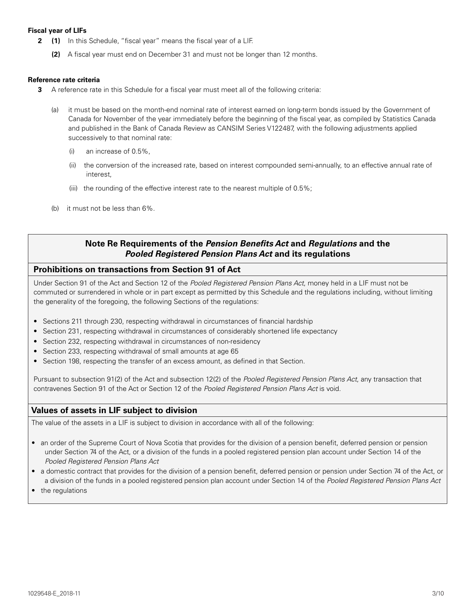#### **Fiscal year of LIFs**

- **2 (1)** In this Schedule, "fiscal year" means the fiscal year of a LIF.
	- **(2)** A fiscal year must end on December 31 and must not be longer than 12 months.

#### **Reference rate criteria**

- **3** A reference rate in this Schedule for a fiscal year must meet all of the following criteria:
	- (a) it must be based on the month-end nominal rate of interest earned on long-term bonds issued by the Government of Canada for November of the year immediately before the beginning of the fiscal year, as compiled by Statistics Canada and published in the Bank of Canada Review as CANSIM Series V122487, with the following adjustments applied successively to that nominal rate:
		- (i) an increase of 0.5%,
		- (ii) the conversion of the increased rate, based on interest compounded semi-annually, to an effective annual rate of interest,
		- (iii) the rounding of the effective interest rate to the nearest multiple of 0.5%;
	- (b) it must not be less than 6%.

# **Note Re Requirements of the** *Pension Benefits Act* **and** *Regulations* **and the**  *Pooled Registered Pension Plans Act* **and its regulations**

## **Prohibitions on transactions from Section 91 of Act**

Under Section 91 of the Act and Section 12 of the *Pooled Registered Pension Plans Act*, money held in a LIF must not be commuted or surrendered in whole or in part except as permitted by this Schedule and the regulations including, without limiting the generality of the foregoing, the following Sections of the regulations:

- Sections 211 through 230, respecting withdrawal in circumstances of financial hardship
- Section 231, respecting withdrawal in circumstances of considerably shortened life expectancy
- Section 232, respecting withdrawal in circumstances of non-residency
- Section 233, respecting withdrawal of small amounts at age 65
- Section 198, respecting the transfer of an excess amount, as defined in that Section.

Pursuant to subsection 91(2) of the Act and subsection 12(2) of the *Pooled Registered Pension Plans Act*, any transaction that contravenes Section 91 of the Act or Section 12 of the *Pooled Registered Pension Plans Act* is void.

# **Values of assets in LIF subject to division**

The value of the assets in a LIF is subject to division in accordance with all of the following:

- an order of the Supreme Court of Nova Scotia that provides for the division of a pension benefit, deferred pension or pension under Section 74 of the Act, or a division of the funds in a pooled registered pension plan account under Section 14 of the *Pooled Registered Pension Plans Act*
- a domestic contract that provides for the division of a pension benefit, deferred pension or pension under Section 74 of the Act, or a division of the funds in a pooled registered pension plan account under Section 14 of the *Pooled Registered Pension Plans Act*
- the regulations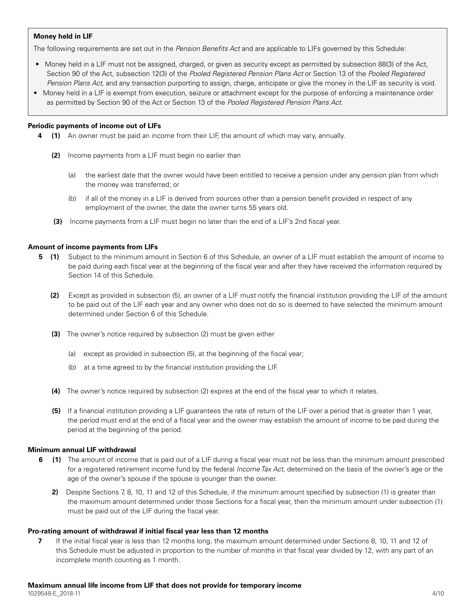#### **Money held in LIF**

The following requirements are set out in the *Pension Benefits Act* and are applicable to LIFs governed by this Schedule:

- Money held in a LIF must not be assigned, charged, or given as security except as permitted by subsection 88(3) of the Act, Section 90 of the Act, subsection 12(3) of the *Pooled Registered Pension Plans Act* or Section 13 of the *Pooled Registered Pension Plans Act*, and any transaction purporting to assign, charge, anticipate or give the money in the LIF as security is void.
- Money held in a LIF is exempt from execution, seizure or attachment except for the purpose of enforcing a maintenance order as permitted by Section 90 of the Act or Section 13 of the *Pooled Registered Pension Plans Act*.

#### **Periodic payments of income out of LIFs**

- **4 (1)** An owner must be paid an income from their LIF, the amount of which may vary, annually.
	- **(2)** Income payments from a LIF must begin no earlier than
		- (a) the earliest date that the owner would have been entitled to receive a pension under any pension plan from which the money was transferred; or
		- (b) if all of the money in a LIF is derived from sources other than a pension benefit provided in respect of any employment of the owner, the date the owner turns 55 years old.
	- **(3)** Income payments from a LIF must begin no later than the end of a LIF's 2nd fiscal year.

#### **Amount of income payments from LIFs**

- **5** (1) Subject to the minimum amount in Section 6 of this Schedule, an owner of a LIF must establish the amount of income to be paid during each fiscal year at the beginning of the fiscal year and after they have received the information required by Section 14 of this Schedule.
	- **(2)** Except as provided in subsection (5), an owner of a LIF must notify the financial institution providing the LIF of the amount to be paid out of the LIF each year and any owner who does not do so is deemed to have selected the minimum amount determined under Section 6 of this Schedule.
	- **(3)** The owner's notice required by subsection (2) must be given either
		- (a) except as provided in subsection (5), at the beginning of the fiscal year;
		- (b) at a time agreed to by the financial institution providing the LIF.
	- **(4)** The owner's notice required by subsection (2) expires at the end of the fiscal year to which it relates.
	- **(5)** If a financial institution providing a LIF guarantees the rate of return of the LIF over a period that is greater than 1 year, the period must end at the end of a fiscal year and the owner may establish the amount of income to be paid during the period at the beginning of the period.

#### **Minimum annual LIF withdrawal**

- **6** (1) The amount of income that is paid out of a LIF during a fiscal year must not be less than the minimum amount prescribed for a registered retirement income fund by the federal *Income Tax Act*, determined on the basis of the owner's age or the age of the owner's spouse if the spouse is younger than the owner.
	- **2)** Despite Sections 7, 8, 10, 11 and 12 of this Schedule, if the minimum amount specified by subsection (1) is greater than the maximum amount determined under those Sections for a fiscal year, then the minimum amount under subsection (1) must be paid out of the LIF during the fiscal year.

#### **Pro-rating amount of withdrawal if initial fiscal year less than 12 months**

**7** If the initial fiscal year is less than 12 months long, the maximum amount determined under Sections 8, 10, 11 and 12 of this Schedule must be adjusted in proportion to the number of months in that fiscal year divided by 12, with any part of an incomplete month counting as 1 month.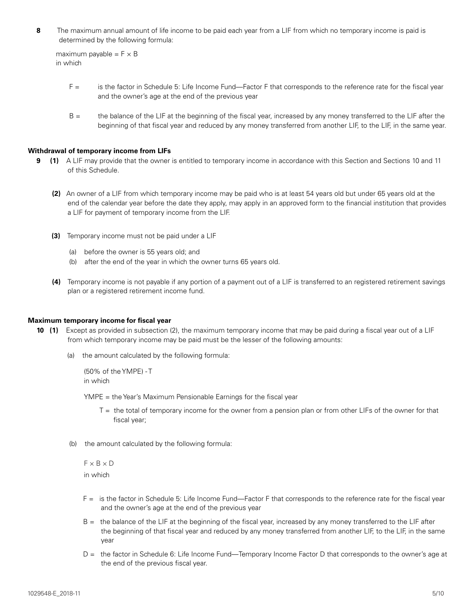**8** The maximum annual amount of life income to be paid each year from a LIF from which no temporary income is paid is determined by the following formula:

```
maximum payable = F \times Bin which
```
- F = is the factor in Schedule 5: Life Income Fund—Factor F that corresponds to the reference rate for the fiscal year and the owner's age at the end of the previous year
- B = the balance of the LIF at the beginning of the fiscal year, increased by any money transferred to the LIF after the beginning of that fiscal year and reduced by any money transferred from another LIF, to the LIF, in the same year.

#### **Withdrawal of temporary income from LIFs**

- **9** (1) A LIF may provide that the owner is entitled to temporary income in accordance with this Section and Sections 10 and 11 of this Schedule.
	- **(2)** An owner of a LIF from which temporary income may be paid who is at least 54 years old but under 65 years old at the end of the calendar year before the date they apply, may apply in an approved form to the financial institution that provides a LIF for payment of temporary income from the LIF.
	- **(3)** Temporary income must not be paid under a LIF
		- (a) before the owner is 55 years old; and
		- (b) after the end of the year in which the owner turns 65 years old.
	- **(4)** Temporary income is not payable if any portion of a payment out of a LIF is transferred to an registered retirement savings plan or a registered retirement income fund.

#### **Maximum temporary income for fiscal year**

- **10 (1)** Except as provided in subsection (2), the maximum temporary income that may be paid during a fiscal year out of a LIF from which temporary income may be paid must be the lesser of the following amounts:
	- (a) the amount calculated by the following formula:

```
 (50% of the YMPE) - T
in which
```
YMPE = the Year's Maximum Pensionable Earnings for the fiscal year

- T = the total of temporary income for the owner from a pension plan or from other LIFs of the owner for that fiscal year;
- (b) the amount calculated by the following formula:

```
F \times B \times D in which
```
- F = is the factor in Schedule 5: Life Income Fund—Factor F that corresponds to the reference rate for the fiscal year and the owner's age at the end of the previous year
- B = the balance of the LIF at the beginning of the fiscal year, increased by any money transferred to the LIF after the beginning of that fiscal year and reduced by any money transferred from another LIF, to the LIF, in the same year
- D = the factor in Schedule 6: Life Income Fund—Temporary Income Factor D that corresponds to the owner's age at the end of the previous fiscal year.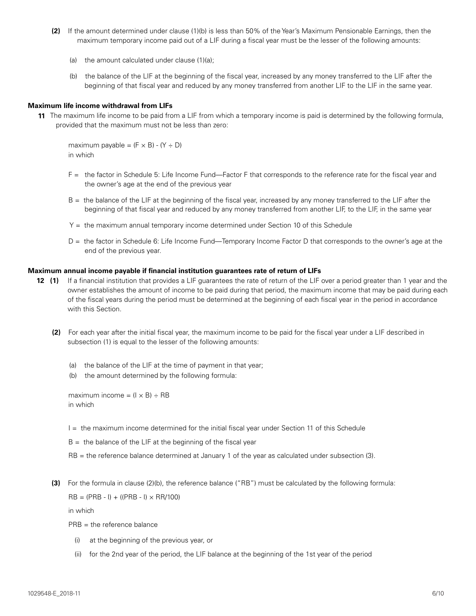- **(2)** If the amount determined under clause (1)(b) is less than 50% of the Year's Maximum Pensionable Earnings, then the maximum temporary income paid out of a LIF during a fiscal year must be the lesser of the following amounts:
	- (a) the amount calculated under clause (1)(a);
	- (b) the balance of the LIF at the beginning of the fiscal year, increased by any money transferred to the LIF after the beginning of that fiscal year and reduced by any money transferred from another LIF to the LIF in the same year.

#### **Maximum life income withdrawal from LIFs**

**11** The maximum life income to be paid from a LIF from which a temporary income is paid is determined by the following formula, provided that the maximum must not be less than zero:

maximum payable =  $(F \times B) - (Y \div D)$ in which

- F = the factor in Schedule 5: Life Income Fund—Factor F that corresponds to the reference rate for the fiscal year and the owner's age at the end of the previous year
- B = the balance of the LIF at the beginning of the fiscal year, increased by any money transferred to the LIF after the beginning of that fiscal year and reduced by any money transferred from another LIF, to the LIF, in the same year
- Y = the maximum annual temporary income determined under Section 10 of this Schedule
- D = the factor in Schedule 6: Life Income Fund—Temporary Income Factor D that corresponds to the owner's age at the end of the previous year.

#### **Maximum annual income payable if financial institution guarantees rate of return of LIFs**

- **12 (1)** If a financial institution that provides a LIF guarantees the rate of return of the LIF over a period greater than 1 year and the owner establishes the amount of income to be paid during that period, the maximum income that may be paid during each of the fiscal years during the period must be determined at the beginning of each fiscal year in the period in accordance with this Section.
	- **(2)** For each year after the initial fiscal year, the maximum income to be paid for the fiscal year under a LIF described in subsection (1) is equal to the lesser of the following amounts:
		- (a) the balance of the LIF at the time of payment in that year;
		- (b) the amount determined by the following formula:

```
maximum income = (I \times B) \div RB in which
```
- I = the maximum income determined for the initial fiscal year under Section 11 of this Schedule
- $B =$  the balance of the LIF at the beginning of the fiscal year
- RB = the reference balance determined at January 1 of the year as calculated under subsection (3).
- **(3)** For the formula in clause (2)(b), the reference balance ("RB") must be calculated by the following formula:  $RB = (PRB - I) + ((PRB - I) \times RR/100)$

in which

- $PRB =$  the reference balance
	- (i) at the beginning of the previous year, or
	- (ii) for the 2nd year of the period, the LIF balance at the beginning of the 1st year of the period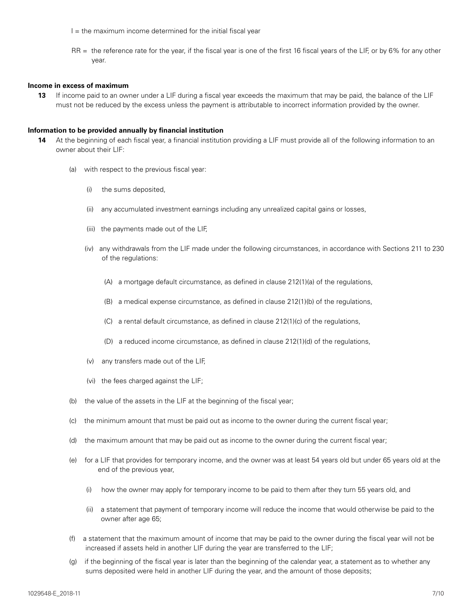- $I =$  the maximum income determined for the initial fiscal year
- RR = the reference rate for the year, if the fiscal year is one of the first 16 fiscal years of the LIF, or by 6% for any other year.

#### **Income in excess of maximum**

**13** If income paid to an owner under a LIF during a fiscal year exceeds the maximum that may be paid, the balance of the LIF must not be reduced by the excess unless the payment is attributable to incorrect information provided by the owner.

#### **Information to be provided annually by financial institution**

- **14** At the beginning of each fiscal year, a financial institution providing a LIF must provide all of the following information to an owner about their LIF:
	- (a) with respect to the previous fiscal year:
		- (i) the sums deposited,
		- (ii) any accumulated investment earnings including any unrealized capital gains or losses,
		- (iii) the payments made out of the LIF,
		- (iv) any withdrawals from the LIF made under the following circumstances, in accordance with Sections 211 to 230 of the regulations:
			- (A) a mortgage default circumstance, as defined in clause 212(1)(a) of the regulations,
			- (B) a medical expense circumstance, as defined in clause 212(1)(b) of the regulations,
			- (C) a rental default circumstance, as defined in clause 212(1)(c) of the regulations,
			- (D) a reduced income circumstance, as defined in clause 212(1)(d) of the regulations,
		- (v) any transfers made out of the LIF,
		- (vi) the fees charged against the LIF;
	- (b) the value of the assets in the LIF at the beginning of the fiscal year;
	- (c) the minimum amount that must be paid out as income to the owner during the current fiscal year;
	- (d) the maximum amount that may be paid out as income to the owner during the current fiscal year;
	- (e) for a LIF that provides for temporary income, and the owner was at least 54 years old but under 65 years old at the end of the previous year,
		- (i) how the owner may apply for temporary income to be paid to them after they turn 55 years old, and
		- (ii) a statement that payment of temporary income will reduce the income that would otherwise be paid to the owner after age 65;
	- (f) a statement that the maximum amount of income that may be paid to the owner during the fiscal year will not be increased if assets held in another LIF during the year are transferred to the LIF;
	- (g) if the beginning of the fiscal year is later than the beginning of the calendar year, a statement as to whether any sums deposited were held in another LIF during the year, and the amount of those deposits;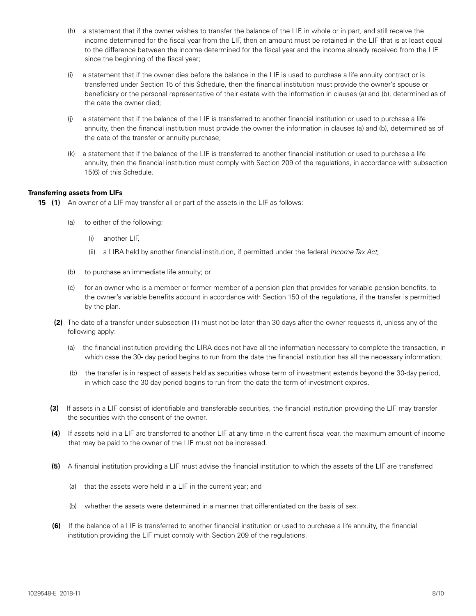- (h) a statement that if the owner wishes to transfer the balance of the LIF, in whole or in part, and still receive the income determined for the fiscal year from the LIF, then an amount must be retained in the LIF that is at least equal to the difference between the income determined for the fiscal year and the income already received from the LIF since the beginning of the fiscal year;
- (i) a statement that if the owner dies before the balance in the LIF is used to purchase a life annuity contract or is transferred under Section 15 of this Schedule, then the financial institution must provide the owner's spouse or beneficiary or the personal representative of their estate with the information in clauses (a) and (b), determined as of the date the owner died;
- (j) a statement that if the balance of the LIF is transferred to another financial institution or used to purchase a life annuity, then the financial institution must provide the owner the information in clauses (a) and (b), determined as of the date of the transfer or annuity purchase;
- (k) a statement that if the balance of the LIF is transferred to another financial institution or used to purchase a life annuity, then the financial institution must comply with Section 209 of the regulations, in accordance with subsection 15(6) of this Schedule.

### **Transferring assets from LIFs**

**15 (1)** An owner of a LIF may transfer all or part of the assets in the LIF as follows:

- (a) to either of the following:
	- (i) another LIF,
	- (ii) a LIRA held by another financial institution, if permitted under the federal *Income Tax Act*;
- (b) to purchase an immediate life annuity; or
- (c) for an owner who is a member or former member of a pension plan that provides for variable pension benefits, to the owner's variable benefits account in accordance with Section 150 of the regulations, if the transfer is permitted by the plan.
- **(2)** The date of a transfer under subsection (1) must not be later than 30 days after the owner requests it, unless any of the following apply:
	- (a) the financial institution providing the LIRA does not have all the information necessary to complete the transaction, in which case the 30- day period begins to run from the date the financial institution has all the necessary information;
	- (b) the transfer is in respect of assets held as securities whose term of investment extends beyond the 30-day period, in which case the 30-day period begins to run from the date the term of investment expires.
- **(3)** If assets in a LIF consist of identifiable and transferable securities, the financial institution providing the LIF may transfer the securities with the consent of the owner.
- **(4)** If assets held in a LIF are transferred to another LIF at any time in the current fiscal year, the maximum amount of income that may be paid to the owner of the LIF must not be increased.
- **(5)** A financial institution providing a LIF must advise the financial institution to which the assets of the LIF are transferred
	- (a) that the assets were held in a LIF in the current year; and
	- (b) whether the assets were determined in a manner that differentiated on the basis of sex.
- **(6)** If the balance of a LIF is transferred to another financial institution or used to purchase a life annuity, the financial institution providing the LIF must comply with Section 209 of the regulations.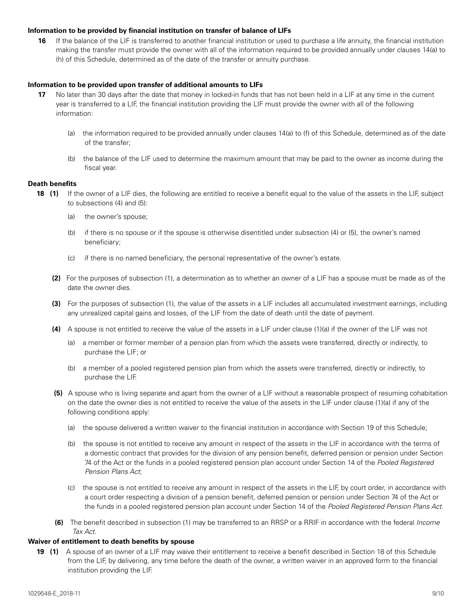#### **Information to be provided by financial institution on transfer of balance of LIFs**

**16** If the balance of the LIF is transferred to another financial institution or used to purchase a life annuity, the financial institution making the transfer must provide the owner with all of the information required to be provided annually under clauses 14(a) to (h) of this Schedule, determined as of the date of the transfer or annuity purchase.

#### **Information to be provided upon transfer of additional amounts to LIFs**

- **17** No later than 30 days after the date that money in locked-in funds that has not been held in a LIF at any time in the current year is transferred to a LIF, the financial institution providing the LIF must provide the owner with all of the following information:
	- (a) the information required to be provided annually under clauses 14(a) to (f) of this Schedule, determined as of the date of the transfer;
	- (b) the balance of the LIF used to determine the maximum amount that may be paid to the owner as income during the fiscal year.

#### **Death benefits**

- **18 (1)** If the owner of a LIF dies, the following are entitled to receive a benefit equal to the value of the assets in the LIF, subject to subsections (4) and (5):
	- (a) the owner's spouse;
	- (b) if there is no spouse or if the spouse is otherwise disentitled under subsection (4) or (5), the owner's named beneficiary;
	- (c) if there is no named beneficiary, the personal representative of the owner's estate.
	- **(2)** For the purposes of subsection (1), a determination as to whether an owner of a LIF has a spouse must be made as of the date the owner dies.
	- **(3)** For the purposes of subsection (1), the value of the assets in a LIF includes all accumulated investment earnings, including any unrealized capital gains and losses, of the LIF from the date of death until the date of payment.
	- **(4)** A spouse is not entitled to receive the value of the assets in a LIF under clause (1)(a) if the owner of the LIF was not
		- (a) a member or former member of a pension plan from which the assets were transferred, directly or indirectly, to purchase the LIF; or
		- (b) a member of a pooled registered pension plan from which the assets were transferred, directly or indirectly, to purchase the LIF.
	- **(5)** A spouse who is living separate and apart from the owner of a LIF without a reasonable prospect of resuming cohabitation on the date the owner dies is not entitled to receive the value of the assets in the LIF under clause (1)(a) if any of the following conditions apply:
		- (a) the spouse delivered a written waiver to the financial institution in accordance with Section 19 of this Schedule;
		- (b) the spouse is not entitled to receive any amount in respect of the assets in the LIF in accordance with the terms of a domestic contract that provides for the division of any pension benefit, deferred pension or pension under Section 74 of the Act or the funds in a pooled registered pension plan account under Section 14 of the *Pooled Registered Pension Plans Act*;
		- (c) the spouse is not entitled to receive any amount in respect of the assets in the LIF, by court order, in accordance with a court order respecting a division of a pension benefit, deferred pension or pension under Section 74 of the Act or the funds in a pooled registered pension plan account under Section 14 of the *Pooled Registered Pension Plans Act*.
	- **(6)** The benefit described in subsection (1) may be transferred to an RRSP or a RRIF in accordance with the federal *Income Tax Act*.

#### **Waiver of entitlement to death benefits by spouse**

**19 (1)** A spouse of an owner of a LIF may waive their entitlement to receive a benefit described in Section 18 of this Schedule from the LIF, by delivering, any time before the death of the owner, a written waiver in an approved form to the financial institution providing the LIF.